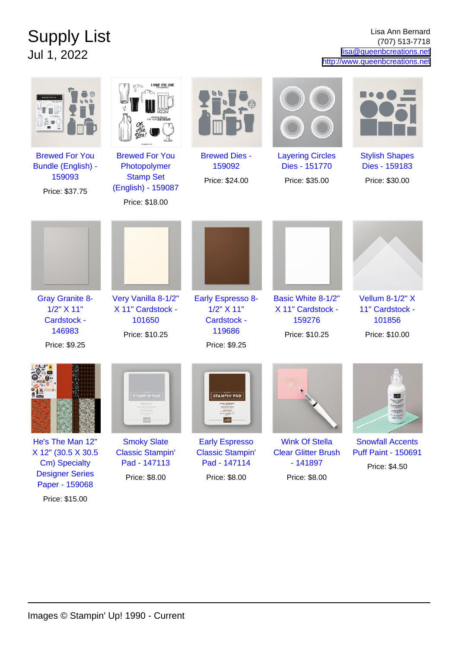## Supply List Jul 1, 2022

Lisa Ann Bernard (707) 513-7718 [lisa@queenbcreations.net](mailto:lisa@queenbcreations.net) <http://www.queenbcreations.net>

|                                                                                                     | I OWE YOU ONE<br><b>BIRTHDAY</b>                                                                  |                                                                                         |                                                                                   |                                                                        |
|-----------------------------------------------------------------------------------------------------|---------------------------------------------------------------------------------------------------|-----------------------------------------------------------------------------------------|-----------------------------------------------------------------------------------|------------------------------------------------------------------------|
| <b>Brewed For You</b><br>Bundle (English) -<br>159093<br>Price: \$37.75                             | <b>Brewed For You</b><br>Photopolymer<br><b>Stamp Set</b><br>(English) - 159087<br>Price: \$18.00 | <b>Brewed Dies -</b><br>159092<br>Price: \$24.00                                        | <b>Layering Circles</b><br>Dies - 151770<br>Price: \$35.00                        | <b>Stylish Shapes</b><br>Dies - 159183<br>Price: \$30.00               |
|                                                                                                     |                                                                                                   |                                                                                         |                                                                                   |                                                                        |
| <b>Gray Granite 8-</b><br>1/2" X 11"<br>Cardstock -<br>146983<br>Price: \$9.25                      | Very Vanilla 8-1/2"<br>X 11" Cardstock -<br>101650<br>Price: \$10.25                              | <b>Early Espresso 8-</b><br>1/2" X 11"<br><b>Cardstock -</b><br>119686<br>Price: \$9.25 | Basic White 8-1/2"<br>X 11" Cardstock -<br>159276<br>Price: \$10.25               | <b>Vellum 8-1/2" X</b><br>11" Cardstock -<br>101856<br>Price: \$10.00  |
|                                                                                                     | STAMPIN' PA <mark>l</mark>                                                                        | <b>STAMPIN' PAD</b>                                                                     |                                                                                   |                                                                        |
| He's The Man 12"<br>X 12" (30.5 X 30.5<br>Cm) Specialty<br><b>Designer Series</b><br>Paper - 159068 | <b>Smoky Slate</b><br><b>Classic Stampin'</b><br>Pad - 147113<br>Price: \$8.00                    | <b>Early Espresso</b><br><b>Classic Stampin'</b><br>Pad - 147114<br>Price: \$8.00       | <b>Wink Of Stella</b><br><b>Clear Glitter Brush</b><br>$-141897$<br>Price: \$8.00 | <b>Snowfall Accents</b><br><b>Puff Paint - 150691</b><br>Price: \$4.50 |

Images © Stampin' Up! 1990 - Current

Price: \$15.00